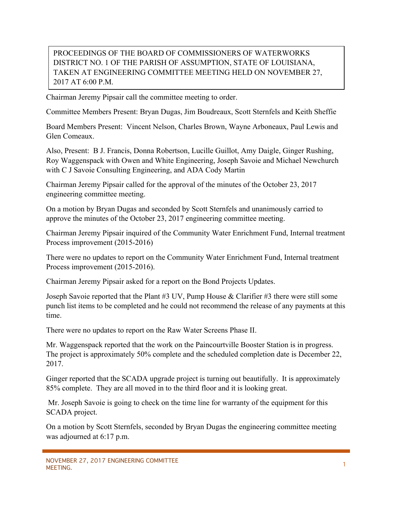## PROCEEDINGS OF THE BOARD OF COMMISSIONERS OF WATERWORKS DISTRICT NO. 1 OF THE PARISH OF ASSUMPTION, STATE OF LOUISIANA, TAKEN AT ENGINEERING COMMITTEE MEETING HELD ON NOVEMBER 27, 2017 AT 6:00 P.M.

Chairman Jeremy Pipsair call the committee meeting to order.

Committee Members Present: Bryan Dugas, Jim Boudreaux, Scott Sternfels and Keith Sheffie

Board Members Present: Vincent Nelson, Charles Brown, Wayne Arboneaux, Paul Lewis and Glen Comeaux.

Also, Present: B J. Francis, Donna Robertson, Lucille Guillot, Amy Daigle, Ginger Rushing, Roy Waggenspack with Owen and White Engineering, Joseph Savoie and Michael Newchurch with C J Savoie Consulting Engineering, and ADA Cody Martin

Chairman Jeremy Pipsair called for the approval of the minutes of the October 23, 2017 engineering committee meeting.

On a motion by Bryan Dugas and seconded by Scott Sternfels and unanimously carried to approve the minutes of the October 23, 2017 engineering committee meeting.

Chairman Jeremy Pipsair inquired of the Community Water Enrichment Fund, Internal treatment Process improvement (2015-2016)

There were no updates to report on the Community Water Enrichment Fund, Internal treatment Process improvement (2015-2016).

Chairman Jeremy Pipsair asked for a report on the Bond Projects Updates.

Joseph Savoie reported that the Plant #3 UV, Pump House & Clarifier #3 there were still some punch list items to be completed and he could not recommend the release of any payments at this time.

There were no updates to report on the Raw Water Screens Phase II.

Mr. Waggenspack reported that the work on the Paincourtville Booster Station is in progress. The project is approximately 50% complete and the scheduled completion date is December 22, 2017.

Ginger reported that the SCADA upgrade project is turning out beautifully. It is approximately 85% complete. They are all moved in to the third floor and it is looking great.

Mr. Joseph Savoie is going to check on the time line for warranty of the equipment for this SCADA project.

On a motion by Scott Sternfels, seconded by Bryan Dugas the engineering committee meeting was adjourned at 6:17 p.m.